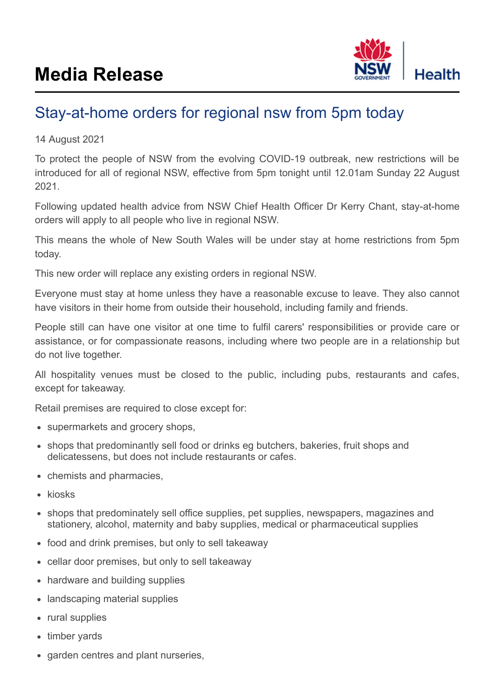

## Stay-at-home orders for regional nsw from 5pm today

## 14 August 2021

To protect the people of NSW from the evolving COVID-19 outbreak, new restrictions will be introduced for all of regional NSW, effective from 5pm tonight until 12.01am Sunday 22 August 2021.

Following updated health advice from NSW Chief Health Officer Dr Kerry Chant, stay-at-home orders will apply to all people who live in regional NSW.

This means the whole of New South Wales will be under stay at home restrictions from 5pm today.

This new order will replace any existing orders in regional NSW.

Everyone must stay at home unless they have a reasonable excuse to leave. They also cannot have visitors in their home from outside their household, including family and friends.

People still can have one visitor at one time to fulfil carers' responsibilities or provide care or assistance, or for compassionate reasons, including where two people are in a relationship but do not live together.

All hospitality venues must be closed to the public, including pubs, restaurants and cafes, except for takeaway.

Retail premises are required to close except for:

- supermarkets and grocery shops,
- shops that predominantly sell food or drinks eg butchers, bakeries, fruit shops and delicatessens, but does not include restaurants or cafes.
- chemists and pharmacies,
- $\bullet$  kiosks
- shops that predominately sell office supplies, pet supplies, newspapers, magazines and stationery, alcohol, maternity and baby supplies, medical or pharmaceutical supplies
- food and drink premises, but only to sell takeaway
- cellar door premises, but only to sell takeaway  $\bullet$
- hardware and building supplies  $\bullet$
- landscaping material supplies  $\bullet$
- rural supplies  $\bullet$
- timber yards
- garden centres and plant nurseries,